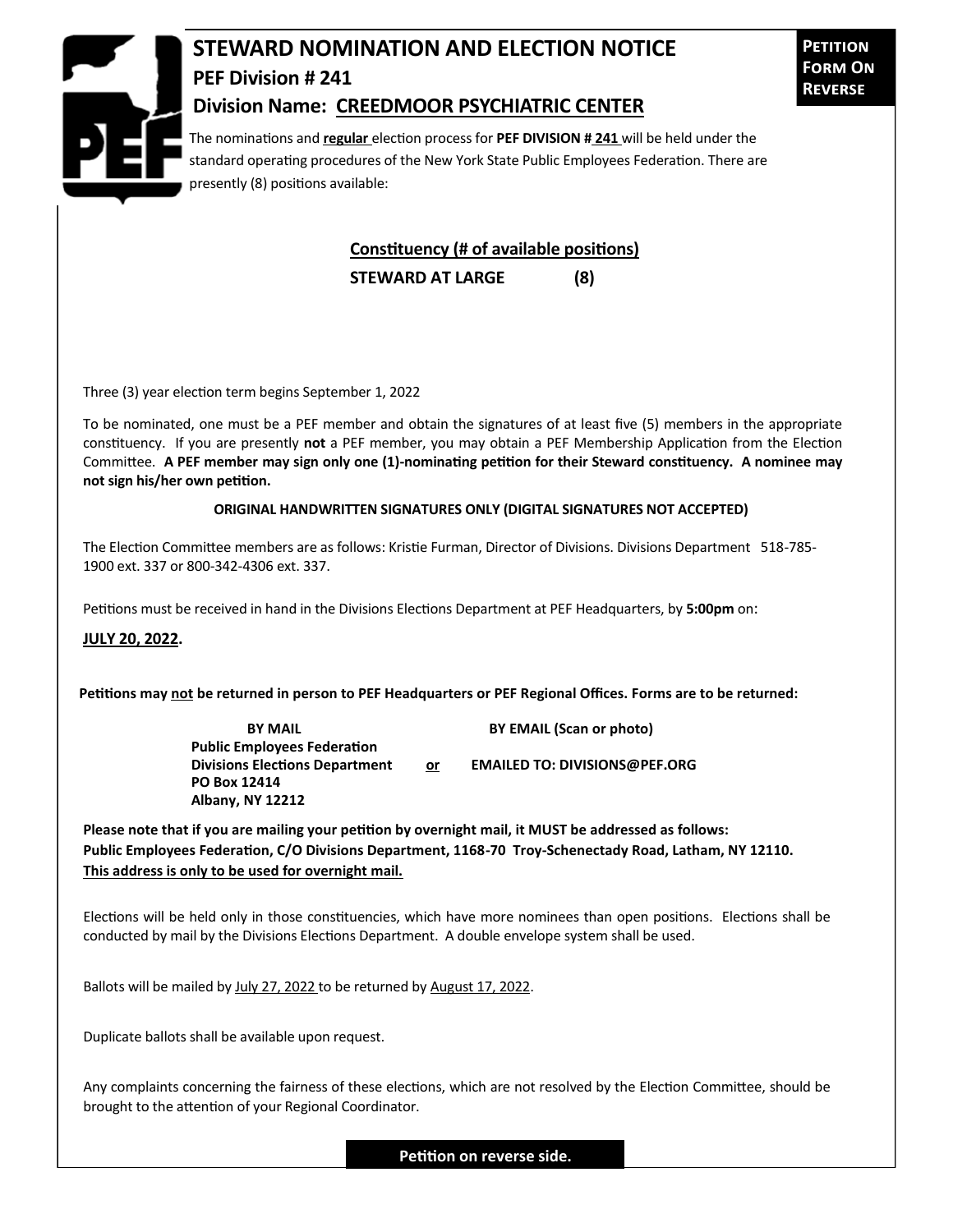

## **STEWARD NOMINATION AND ELECTION NOTICE PEF Division # 241 Division Name: CREEDMOOR PSYCHIATRIC CENTER**

**Petition Form On Reverse**

The nominations and **regular** election process for **PEF DIVISION # 241** will be held under the standard operating procedures of the New York State Public Employees Federation. There are presently (8) positions available:

## **Constituency (# of available positions)**

**STEWARD AT LARGE (8)**

Three (3) year election term begins September 1, 2022

To be nominated, one must be a PEF member and obtain the signatures of at least five (5) members in the appropriate constituency. If you are presently **not** a PEF member, you may obtain a PEF Membership Application from the Election Committee. **A PEF member may sign only one (1)-nominating petition for their Steward constituency. A nominee may not sign his/her own petition.**

## **ORIGINAL HANDWRITTEN SIGNATURES ONLY (DIGITAL SIGNATURES NOT ACCEPTED)**

The Election Committee members are as follows: Kristie Furman, Director of Divisions. Divisions Department 518-785- 1900 ext. 337 or 800-342-4306 ext. 337.

Petitions must be received in hand in the Divisions Elections Department at PEF Headquarters, by **5:00pm** on:

**JULY 20, 2022.**

**Petitions may not be returned in person to PEF Headquarters or PEF Regional Offices. Forms are to be returned:**

**Public Employees Federation PO Box 12414 Albany, NY 12212**

**BY MAIL BY EMAIL (Scan or photo)** 

Divisions Elections Department or **EMAILED TO: DIVISIONS@PEF.ORG** 

**Please note that if you are mailing your petition by overnight mail, it MUST be addressed as follows: Public Employees Federation, C/O Divisions Department, 1168-70 Troy-Schenectady Road, Latham, NY 12110. This address is only to be used for overnight mail.**

Elections will be held only in those constituencies, which have more nominees than open positions. Elections shall be conducted by mail by the Divisions Elections Department. A double envelope system shall be used.

Ballots will be mailed by July 27, 2022 to be returned by August 17, 2022.

Duplicate ballots shall be available upon request.

Any complaints concerning the fairness of these elections, which are not resolved by the Election Committee, should be brought to the attention of your Regional Coordinator.

**Petition on reverse side.**